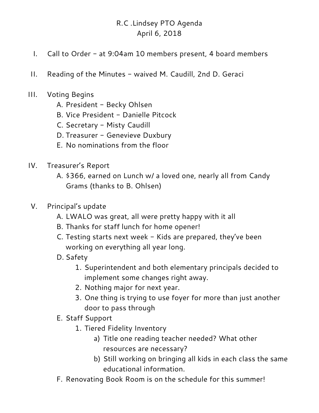# R.C .Lindsey PTO Agenda April 6, 2018

- I. Call to Order at 9:04am 10 members present, 4 board members
- II. Reading of the Minutes waived M. Caudill, 2nd D. Geraci
- III. Voting Begins
	- A. President Becky Ohlsen
	- B. Vice President Danielle Pitcock
	- C. Secretary Misty Caudill
	- D. Treasurer Genevieve Duxbury
	- E. No nominations from the floor
- IV. Treasurer's Report
	- A. \$366, earned on Lunch w/ a loved one, nearly all from Candy Grams (thanks to B. Ohlsen)
- V. Principal's update
	- A. LWALO was great, all were pretty happy with it all
	- B. Thanks for staff lunch for home opener!
	- C. Testing starts next week Kids are prepared, they've been working on everything all year long.
	- D. Safety
		- 1. Superintendent and both elementary principals decided to implement some changes right away.
		- 2. Nothing major for next year.
		- 3. One thing is trying to use foyer for more than just another door to pass through
	- E. Staff Support
		- 1. Tiered Fidelity Inventory
			- a) Title one reading teacher needed? What other resources are necessary?
			- b) Still working on bringing all kids in each class the same educational information.
	- F. Renovating Book Room is on the schedule for this summer!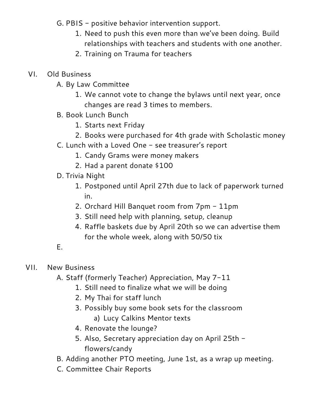- G. PBIS positive behavior intervention support.
	- 1. Need to push this even more than we've been doing. Build relationships with teachers and students with one another.
	- 2. Training on Trauma for teachers

#### VI. Old Business

- A. By Law Committee
	- 1. We cannot vote to change the bylaws until next year, once changes are read 3 times to members.
- B. Book Lunch Bunch
	- 1. Starts next Friday
	- 2. Books were purchased for 4th grade with Scholastic money
- C. Lunch with a Loved One see treasurer's report
	- 1. Candy Grams were money makers
	- 2. Had a parent donate \$100
- D. Trivia Night
	- 1. Postponed until April 27th due to lack of paperwork turned in.
	- 2. Orchard Hill Banquet room from 7pm 11pm
	- 3. Still need help with planning, setup, cleanup
	- 4. Raffle baskets due by April 20th so we can advertise them for the whole week, along with 50/50 tix

### E.

#### VII. New Business

- A. Staff (formerly Teacher) Appreciation, May 7-11
	- 1. Still need to finalize what we will be doing
	- 2. My Thai for staff lunch
	- 3. Possibly buy some book sets for the classroom
		- a) Lucy Calkins Mentor texts
	- 4. Renovate the lounge?
	- 5. Also, Secretary appreciation day on April 25th flowers/candy
- B. Adding another PTO meeting, June 1st, as a wrap up meeting.
- C. Committee Chair Reports